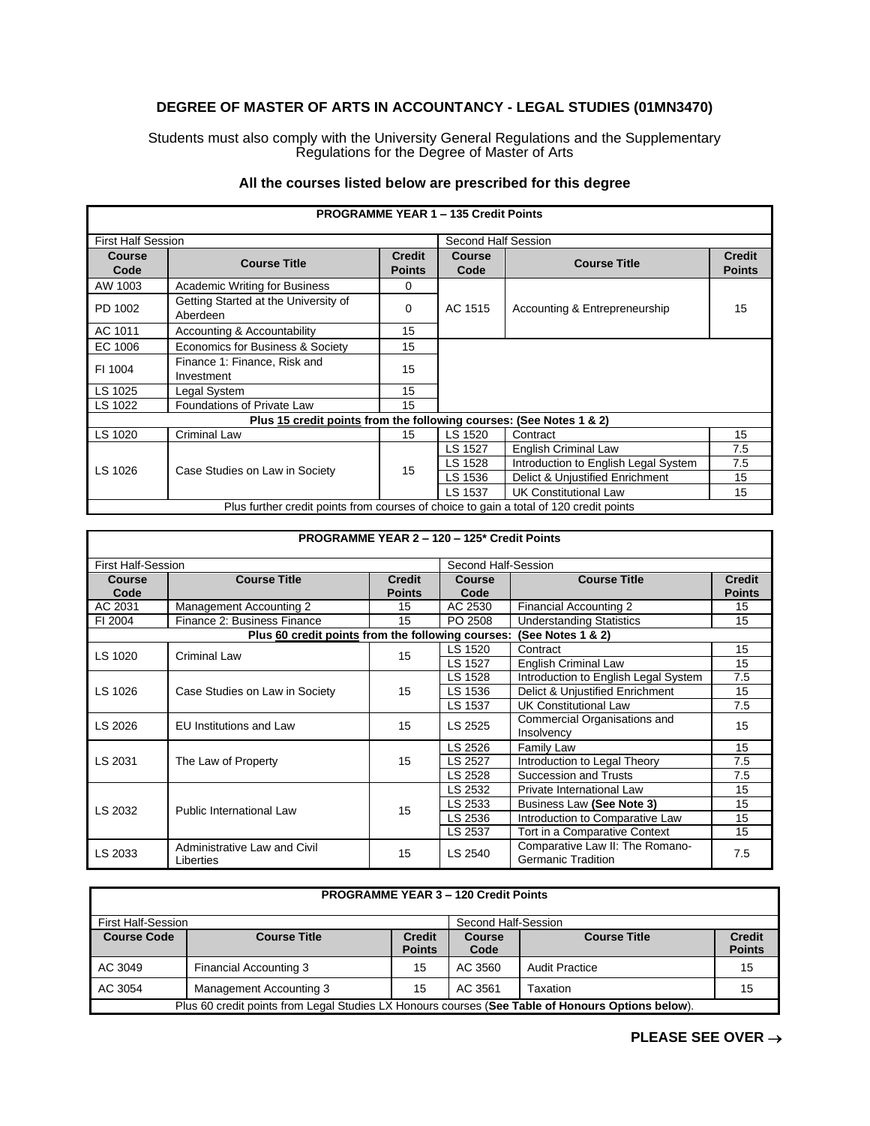## **DEGREE OF MASTER OF ARTS IN ACCOUNTANCY - LEGAL STUDIES (01MN3470)**

Students must also comply with the University General Regulations and the Supplementary Regulations for the Degree of Master of Arts

|                                                                                        |                                                  |                                | <b>PROGRAMME YEAR 1 - 135 Credit Points</b> |                                      |                                |
|----------------------------------------------------------------------------------------|--------------------------------------------------|--------------------------------|---------------------------------------------|--------------------------------------|--------------------------------|
| <b>First Half Session</b>                                                              |                                                  |                                | Second Half Session                         |                                      |                                |
| Course<br>Code                                                                         | <b>Course Title</b>                              | <b>Credit</b><br><b>Points</b> | <b>Course</b><br>Code                       | <b>Course Title</b>                  | <b>Credit</b><br><b>Points</b> |
| AW 1003                                                                                | Academic Writing for Business                    | 0                              |                                             |                                      |                                |
| PD 1002                                                                                | Getting Started at the University of<br>Aberdeen | 0                              | AC 1515                                     | Accounting & Entrepreneurship        | 15                             |
| AC 1011                                                                                | Accounting & Accountability                      | 15                             |                                             |                                      |                                |
| EC 1006                                                                                | Economics for Business & Society                 | 15                             |                                             |                                      |                                |
| FI 1004                                                                                | Finance 1: Finance, Risk and<br>Investment       | 15                             |                                             |                                      |                                |
| LS 1025                                                                                | Legal System                                     | 15                             |                                             |                                      |                                |
| LS 1022                                                                                | Foundations of Private Law                       | 15                             |                                             |                                      |                                |
| Plus 15 credit points from the following courses: (See Notes 1 & 2)                    |                                                  |                                |                                             |                                      |                                |
| LS 1020                                                                                | Criminal Law                                     | 15                             | LS 1520                                     | Contract                             | 15                             |
|                                                                                        | Case Studies on Law in Society                   | 15                             | LS 1527                                     | <b>English Criminal Law</b>          | 7.5                            |
| LS 1026                                                                                |                                                  |                                | LS 1528                                     | Introduction to English Legal System | 7.5                            |
|                                                                                        |                                                  |                                | LS 1536                                     | Delict & Unjustified Enrichment      | 15                             |
|                                                                                        |                                                  |                                | LS 1537                                     | <b>UK Constitutional Law</b>         | 15                             |
| Plus further credit points from courses of choice to gain a total of 120 credit points |                                                  |                                |                                             |                                      |                                |

## **All the courses listed below are prescribed for this degree**

|                           |                                                   |                                | PROGRAMME YEAR 2 - 120 - 125* Credit Points |                                                              |                                |
|---------------------------|---------------------------------------------------|--------------------------------|---------------------------------------------|--------------------------------------------------------------|--------------------------------|
| <b>First Half-Session</b> |                                                   |                                | Second Half-Session                         |                                                              |                                |
| <b>Course</b><br>Code     | <b>Course Title</b>                               | <b>Credit</b><br><b>Points</b> | <b>Course</b><br>Code                       | <b>Course Title</b>                                          | <b>Credit</b><br><b>Points</b> |
| AC 2031                   | Management Accounting 2                           | 15                             | AC 2530                                     | Financial Accounting 2                                       | 15                             |
| FI 2004                   | Finance 2: Business Finance                       | 15                             | PO 2508                                     | <b>Understanding Statistics</b>                              | 15                             |
|                           | Plus 60 credit points from the following courses: |                                |                                             | (See Notes 1 & 2)                                            |                                |
| LS 1020                   |                                                   | 15                             | LS 1520                                     | Contract                                                     | 15                             |
|                           | <b>Criminal Law</b>                               |                                | LS 1527                                     | <b>English Criminal Law</b>                                  | 15                             |
|                           | Case Studies on Law in Society                    |                                | LS 1528                                     | Introduction to English Legal System                         | 7.5                            |
| LS 1026                   |                                                   | 15                             | LS 1536                                     | Delict & Unjustified Enrichment                              | 15                             |
|                           |                                                   |                                | LS 1537                                     | <b>UK Constitutional Law</b>                                 | 7.5                            |
| LS 2026                   | <b>EU Institutions and Law</b>                    | 15                             | LS 2525                                     | Commercial Organisations and<br>Insolvency                   | 15                             |
| LS 2031                   | The Law of Property                               | 15                             | LS 2526                                     | Family Law                                                   | 15                             |
|                           |                                                   |                                | LS 2527                                     | Introduction to Legal Theory                                 | 7.5                            |
|                           |                                                   |                                | LS 2528                                     | <b>Succession and Trusts</b>                                 | 7.5                            |
|                           | Public International Law                          |                                | LS 2532                                     | Private International Law                                    | 15                             |
| LS 2032                   |                                                   | 15                             | LS 2533                                     | Business Law (See Note 3)                                    | 15                             |
|                           |                                                   |                                | LS 2536                                     | Introduction to Comparative Law                              | 15                             |
|                           |                                                   |                                | LS 2537                                     | Tort in a Comparative Context                                | 15                             |
| LS 2033                   | Administrative Law and Civil<br>Liberties         | 15                             | LS 2540                                     | Comparative Law II: The Romano-<br><b>Germanic Tradition</b> | 7.5                            |

| <b>PROGRAMME YEAR 3 - 120 Credit Points</b>                                                       |                         |                                |                       |                       |                                |
|---------------------------------------------------------------------------------------------------|-------------------------|--------------------------------|-----------------------|-----------------------|--------------------------------|
| <b>First Half-Session</b><br>Second Half-Session                                                  |                         |                                |                       |                       |                                |
| <b>Course Code</b>                                                                                | <b>Course Title</b>     | <b>Credit</b><br><b>Points</b> | <b>Course</b><br>Code | <b>Course Title</b>   | <b>Credit</b><br><b>Points</b> |
| AC 3049                                                                                           | Financial Accounting 3  | 15                             | AC 3560               | <b>Audit Practice</b> | 15                             |
| AC 3054                                                                                           | Management Accounting 3 | 15                             | AC 3561               | Taxation              | 15                             |
| Plus 60 credit points from Legal Studies LX Honours courses (See Table of Honours Options below). |                         |                                |                       |                       |                                |